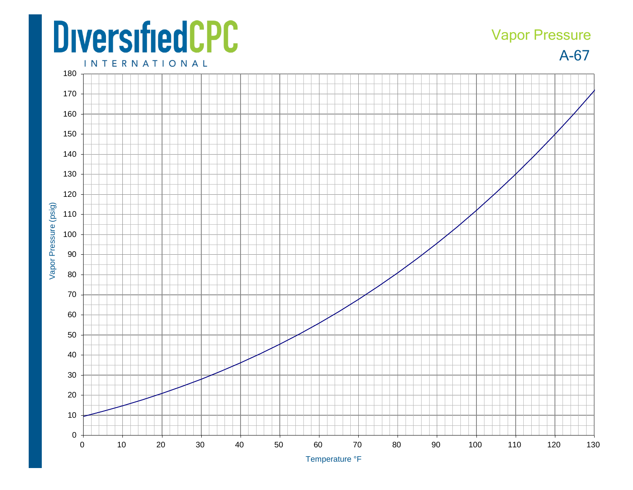## **DiversifiedCPC**

## A-67 Vapor Pressure

**INTERNATIONAL**